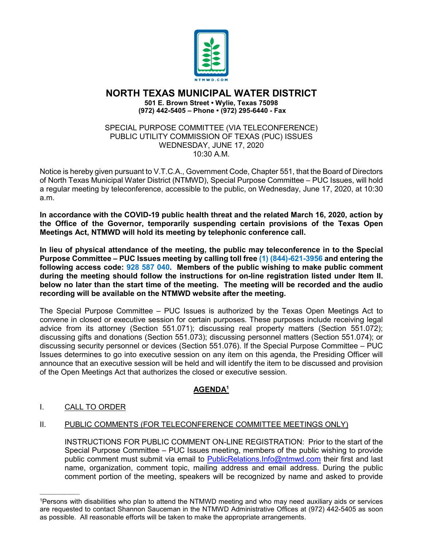

# **NORTH TEXAS MUNICIPAL WATER DISTRICT**

**501 E. Brown Street • Wylie, Texas 75098 (972) 442-5405 – Phone • (972) 295-6440 - Fax**

SPECIAL PURPOSE COMMITTEE (VIA TELECONFERENCE) PUBLIC UTILITY COMMISSION OF TEXAS (PUC) ISSUES WEDNESDAY, JUNE 17, 2020 10:30 A.M.

Notice is hereby given pursuant to V.T.C.A., Government Code, Chapter 551, that the Board of Directors of North Texas Municipal Water District (NTMWD), Special Purpose Committee – PUC Issues, will hold a regular meeting by teleconference, accessible to the public, on Wednesday, June 17, 2020, at 10:30 a.m.

**In accordance with the COVID-19 public health threat and the related March 16, 2020, action by the Office of the Governor, temporarily suspending certain provisions of the Texas Open Meetings Act, NTMWD will hold its meeting by telephonic conference call.** 

**In lieu of physical attendance of the meeting, the public may teleconference in to the Special Purpose Committee – PUC Issues meeting by calling toll free (1) (844)-621-3956 and entering the following access code: 928 587 040. Members of the public wishing to make public comment during the meeting should follow the instructions for on-line registration listed under Item II. below no later than the start time of the meeting. The meeting will be recorded and the audio recording will be available on the NTMWD website after the meeting.**

The Special Purpose Committee – PUC Issues is authorized by the Texas Open Meetings Act to convene in closed or executive session for certain purposes. These purposes include receiving legal advice from its attorney (Section 551.071); discussing real property matters (Section 551.072); discussing gifts and donations (Section 551.073); discussing personnel matters (Section 551.074); or discussing security personnel or devices (Section 551.076). If the Special Purpose Committee – PUC Issues determines to go into executive session on any item on this agenda, the Presiding Officer will announce that an executive session will be held and will identify the item to be discussed and provision of the Open Meetings Act that authorizes the closed or executive session.

## **AGENDA1**

## I. CALL TO ORDER

 $\overline{\phantom{a}}$  ,  $\overline{\phantom{a}}$  ,  $\overline{\phantom{a}}$  ,  $\overline{\phantom{a}}$  ,  $\overline{\phantom{a}}$  ,  $\overline{\phantom{a}}$  ,  $\overline{\phantom{a}}$  ,  $\overline{\phantom{a}}$  ,  $\overline{\phantom{a}}$  ,  $\overline{\phantom{a}}$  ,  $\overline{\phantom{a}}$  ,  $\overline{\phantom{a}}$  ,  $\overline{\phantom{a}}$  ,  $\overline{\phantom{a}}$  ,  $\overline{\phantom{a}}$  ,  $\overline{\phantom{a}}$ 

## II. PUBLIC COMMENTS (FOR TELECONFERENCE COMMITTEE MEETINGS ONLY)

INSTRUCTIONS FOR PUBLIC COMMENT ON-LINE REGISTRATION: Prior to the start of the Special Purpose Committee – PUC Issues meeting, members of the public wishing to provide public comment must submit via email to [PublicRelations.Info@ntmwd.com](mailto:PublicRelations.Info@ntmwd.com) their first and last name, organization, comment topic, mailing address and email address. During the public comment portion of the meeting, speakers will be recognized by name and asked to provide

<sup>1</sup>Persons with disabilities who plan to attend the NTMWD meeting and who may need auxiliary aids or services are requested to contact Shannon Sauceman in the NTMWD Administrative Offices at (972) 442-5405 as soon as possible. All reasonable efforts will be taken to make the appropriate arrangements.